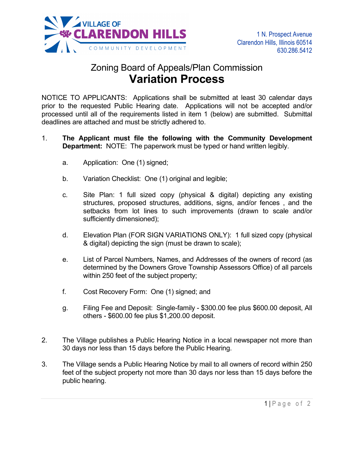

## Zoning Board of Appeals/Plan Commission **Variation Process**

NOTICE TO APPLICANTS: Applications shall be submitted at least 30 calendar days prior to the requested Public Hearing date. Applications will not be accepted and/or processed until all of the requirements listed in item 1 (below) are submitted. Submittal deadlines are attached and must be strictly adhered to.

- 1. **The Applicant must file the following with the Community Development Department:** NOTE: The paperwork must be typed or hand written legibly.
	- a. Application: One (1) signed;
	- b. Variation Checklist: One (1) original and legible;
	- c. Site Plan: 1 full sized copy (physical & digital) depicting any existing structures, proposed structures, additions, signs, and/or fences , and the setbacks from lot lines to such improvements (drawn to scale and/or sufficiently dimensioned);
	- d. Elevation Plan (FOR SIGN VARIATIONS ONLY): 1 full sized copy (physical & digital) depicting the sign (must be drawn to scale);
	- e. List of Parcel Numbers, Names, and Addresses of the owners of record (as determined by the Downers Grove Township Assessors Office) of all parcels within 250 feet of the subject property;
	- f. Cost Recovery Form: One (1) signed; and
	- g. Filing Fee and Deposit: Single-family \$300.00 fee plus \$600.00 deposit, All others - \$600.00 fee plus \$1,200.00 deposit.
- 2. The Village publishes a Public Hearing Notice in a local newspaper not more than 30 days nor less than 15 days before the Public Hearing.
- 3. The Village sends a Public Hearing Notice by mail to all owners of record within 250 feet of the subject property not more than 30 days nor less than 15 days before the public hearing.